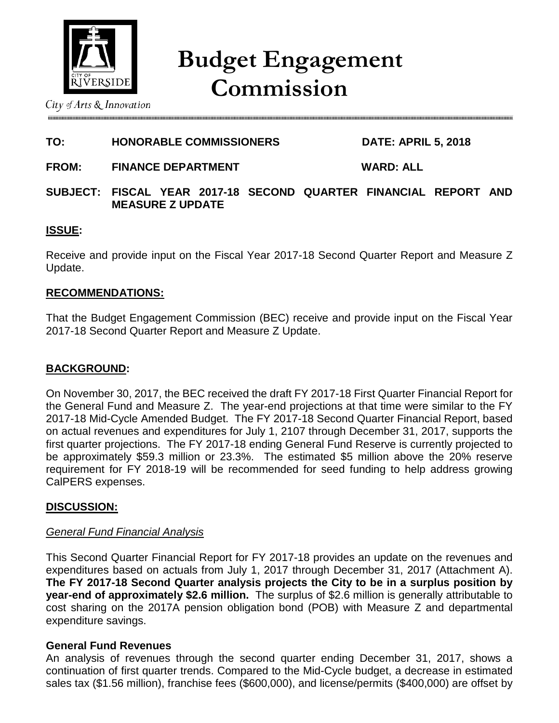

# **Budget Engagement Commission**

City of Arts  $\&$  Innovation

# **TO: HONORABLE COMMISSIONERS DATE: APRIL 5, 2018**

**FROM: FINANCE DEPARTMENT WARD: ALL**

## **SUBJECT: FISCAL YEAR 2017-18 SECOND QUARTER FINANCIAL REPORT AND MEASURE Z UPDATE**

## **ISSUE:**

Receive and provide input on the Fiscal Year 2017-18 Second Quarter Report and Measure Z Update.

## **RECOMMENDATIONS:**

That the Budget Engagement Commission (BEC) receive and provide input on the Fiscal Year 2017-18 Second Quarter Report and Measure Z Update.

## **BACKGROUND:**

On November 30, 2017, the BEC received the draft FY 2017-18 First Quarter Financial Report for the General Fund and Measure Z. The year-end projections at that time were similar to the FY 2017-18 Mid-Cycle Amended Budget. The FY 2017-18 Second Quarter Financial Report, based on actual revenues and expenditures for July 1, 2107 through December 31, 2017, supports the first quarter projections. The FY 2017-18 ending General Fund Reserve is currently projected to be approximately \$59.3 million or 23.3%. The estimated \$5 million above the 20% reserve requirement for FY 2018-19 will be recommended for seed funding to help address growing CalPERS expenses.

## **DISCUSSION:**

## *General Fund Financial Analysis*

This Second Quarter Financial Report for FY 2017-18 provides an update on the revenues and expenditures based on actuals from July 1, 2017 through December 31, 2017 (Attachment A). **The FY 2017-18 Second Quarter analysis projects the City to be in a surplus position by year-end of approximately \$2.6 million.** The surplus of \$2.6 million is generally attributable to cost sharing on the 2017A pension obligation bond (POB) with Measure Z and departmental expenditure savings.

## **General Fund Revenues**

An analysis of revenues through the second quarter ending December 31, 2017, shows a continuation of first quarter trends. Compared to the Mid-Cycle budget, a decrease in estimated sales tax (\$1.56 million), franchise fees (\$600,000), and license/permits (\$400,000) are offset by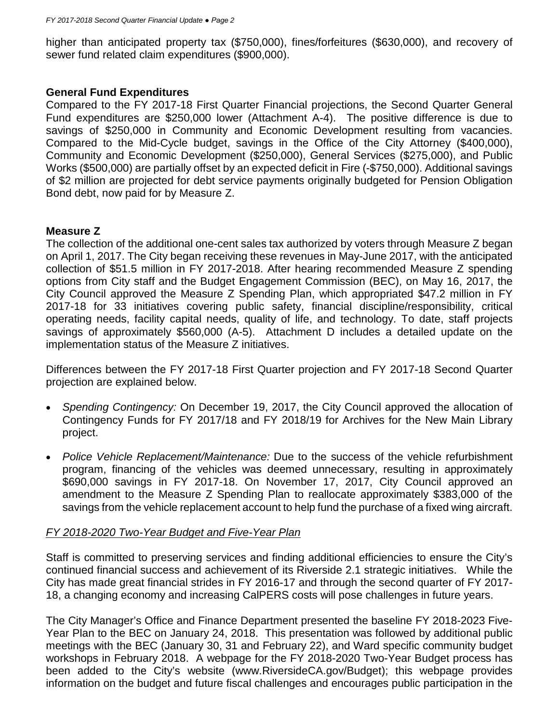higher than anticipated property tax (\$750,000), fines/forfeitures (\$630,000), and recovery of sewer fund related claim expenditures (\$900,000).

#### **General Fund Expenditures**

Compared to the FY 2017-18 First Quarter Financial projections, the Second Quarter General Fund expenditures are \$250,000 lower (Attachment A-4). The positive difference is due to savings of \$250,000 in Community and Economic Development resulting from vacancies. Compared to the Mid-Cycle budget, savings in the Office of the City Attorney (\$400,000), Community and Economic Development (\$250,000), General Services (\$275,000), and Public Works (\$500,000) are partially offset by an expected deficit in Fire (-\$750,000). Additional savings of \$2 million are projected for debt service payments originally budgeted for Pension Obligation Bond debt, now paid for by Measure Z.

#### **Measure Z**

The collection of the additional one-cent sales tax authorized by voters through Measure Z began on April 1, 2017. The City began receiving these revenues in May-June 2017, with the anticipated collection of \$51.5 million in FY 2017-2018. After hearing recommended Measure Z spending options from City staff and the Budget Engagement Commission (BEC), on May 16, 2017, the City Council approved the Measure Z Spending Plan, which appropriated \$47.2 million in FY 2017-18 for 33 initiatives covering public safety, financial discipline/responsibility, critical operating needs, facility capital needs, quality of life, and technology. To date, staff projects savings of approximately \$560,000 (A-5). Attachment D includes a detailed update on the implementation status of the Measure Z initiatives.

Differences between the FY 2017-18 First Quarter projection and FY 2017-18 Second Quarter projection are explained below.

- *Spending Contingency:* On December 19, 2017, the City Council approved the allocation of Contingency Funds for FY 2017/18 and FY 2018/19 for Archives for the New Main Library project.
- *Police Vehicle Replacement/Maintenance:* Due to the success of the vehicle refurbishment program, financing of the vehicles was deemed unnecessary, resulting in approximately \$690,000 savings in FY 2017-18. On November 17, 2017, City Council approved an amendment to the Measure Z Spending Plan to reallocate approximately \$383,000 of the savings from the vehicle replacement account to help fund the purchase of a fixed wing aircraft.

#### *FY 2018-2020 Two-Year Budget and Five-Year Plan*

Staff is committed to preserving services and finding additional efficiencies to ensure the City's continued financial success and achievement of its Riverside 2.1 strategic initiatives. While the City has made great financial strides in FY 2016-17 and through the second quarter of FY 2017- 18, a changing economy and increasing CalPERS costs will pose challenges in future years.

The City Manager's Office and Finance Department presented the baseline FY 2018-2023 Five-Year Plan to the BEC on January 24, 2018. This presentation was followed by additional public meetings with the BEC (January 30, 31 and February 22), and Ward specific community budget workshops in February 2018. A webpage for the FY 2018-2020 Two-Year Budget process has been added to the City's website (www.RiversideCA.gov/Budget); this webpage provides information on the budget and future fiscal challenges and encourages public participation in the